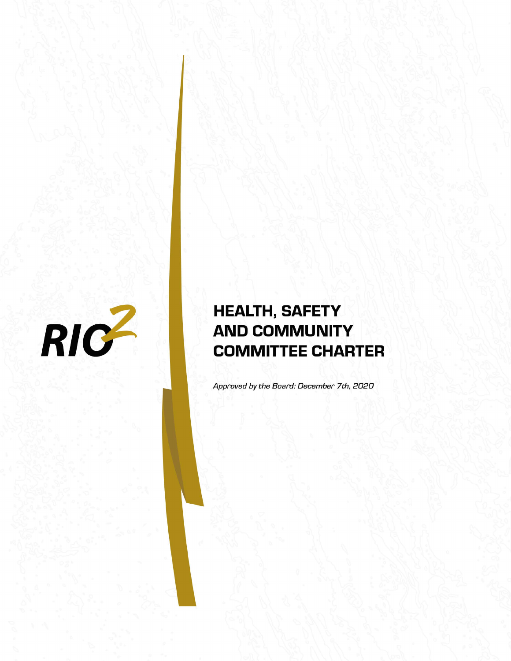

# **HEALTH, SAFETY AND COMMUNITY COMMITTEE CHARTER**

Approved by the Board: December 7th, 2020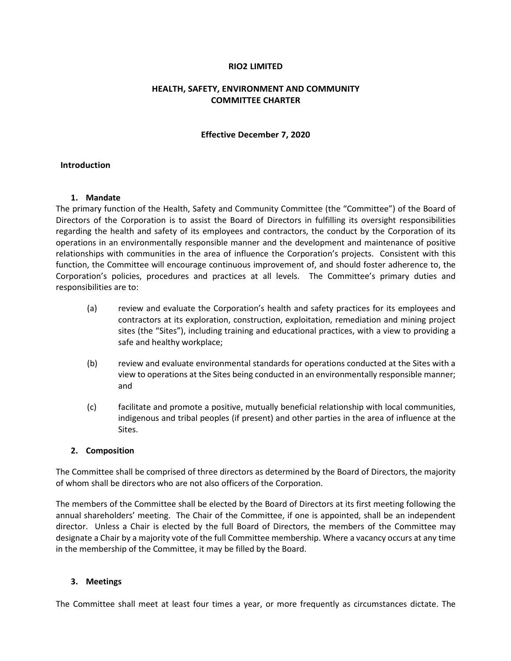## **RIO2 LIMITED**

## **HEALTH, SAFETY, ENVIRONMENT AND COMMUNITY COMMITTEE CHARTER**

#### **Effective December 7, 2020**

#### **Introduction**

#### **1. Mandate**

The primary function of the Health, Safety and Community Committee (the "Committee") of the Board of Directors of the Corporation is to assist the Board of Directors in fulfilling its oversight responsibilities regarding the health and safety of its employees and contractors, the conduct by the Corporation of its operations in an environmentally responsible manner and the development and maintenance of positive relationships with communities in the area of influence the Corporation's projects. Consistent with this function, the Committee will encourage continuous improvement of, and should foster adherence to, the Corporation's policies, procedures and practices at all levels. The Committee's primary duties and responsibilities are to:

- (a) review and evaluate the Corporation's health and safety practices for its employees and contractors at its exploration, construction, exploitation, remediation and mining project sites (the "Sites"), including training and educational practices, with a view to providing a safe and healthy workplace;
- (b) review and evaluate environmental standards for operations conducted at the Sites with a view to operations at the Sites being conducted in an environmentally responsible manner; and
- (c) facilitate and promote a positive, mutually beneficial relationship with local communities, indigenous and tribal peoples (if present) and other parties in the area of influence at the Sites.

## **2. Composition**

The Committee shall be comprised of three directors as determined by the Board of Directors, the majority of whom shall be directors who are not also officers of the Corporation.

The members of the Committee shall be elected by the Board of Directors at its first meeting following the annual shareholders' meeting. The Chair of the Committee, if one is appointed, shall be an independent director. Unless a Chair is elected by the full Board of Directors, the members of the Committee may designate a Chair by a majority vote of the full Committee membership. Where a vacancy occurs at any time in the membership of the Committee, it may be filled by the Board.

## **3. Meetings**

The Committee shall meet at least four times a year, or more frequently as circumstances dictate. The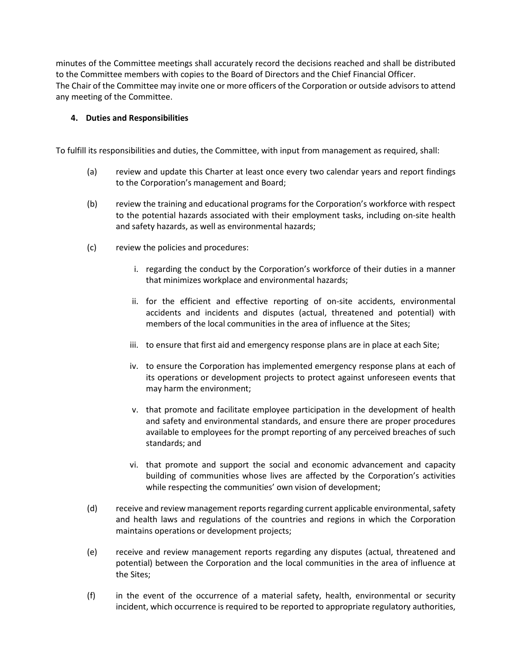minutes of the Committee meetings shall accurately record the decisions reached and shall be distributed to the Committee members with copies to the Board of Directors and the Chief Financial Officer. The Chair of the Committee may invite one or more officers of the Corporation or outside advisors to attend any meeting of the Committee.

# **4. Duties and Responsibilities**

To fulfill its responsibilities and duties, the Committee, with input from management as required, shall:

- (a) review and update this Charter at least once every two calendar years and report findings to the Corporation's management and Board;
- (b) review the training and educational programs for the Corporation's workforce with respect to the potential hazards associated with their employment tasks, including on-site health and safety hazards, as well as environmental hazards;
- (c) review the policies and procedures:
	- i. regarding the conduct by the Corporation's workforce of their duties in a manner that minimizes workplace and environmental hazards;
	- ii. for the efficient and effective reporting of on-site accidents, environmental accidents and incidents and disputes (actual, threatened and potential) with members of the local communities in the area of influence at the Sites;
	- iii. to ensure that first aid and emergency response plans are in place at each Site;
	- iv. to ensure the Corporation has implemented emergency response plans at each of its operations or development projects to protect against unforeseen events that may harm the environment;
	- v. that promote and facilitate employee participation in the development of health and safety and environmental standards, and ensure there are proper procedures available to employees for the prompt reporting of any perceived breaches of such standards; and
	- vi. that promote and support the social and economic advancement and capacity building of communities whose lives are affected by the Corporation's activities while respecting the communities' own vision of development;
- (d) receive and review management reports regarding current applicable environmental, safety and health laws and regulations of the countries and regions in which the Corporation maintains operations or development projects;
- (e) receive and review management reports regarding any disputes (actual, threatened and potential) between the Corporation and the local communities in the area of influence at the Sites;
- (f) in the event of the occurrence of a material safety, health, environmental or security incident, which occurrence is required to be reported to appropriate regulatory authorities,